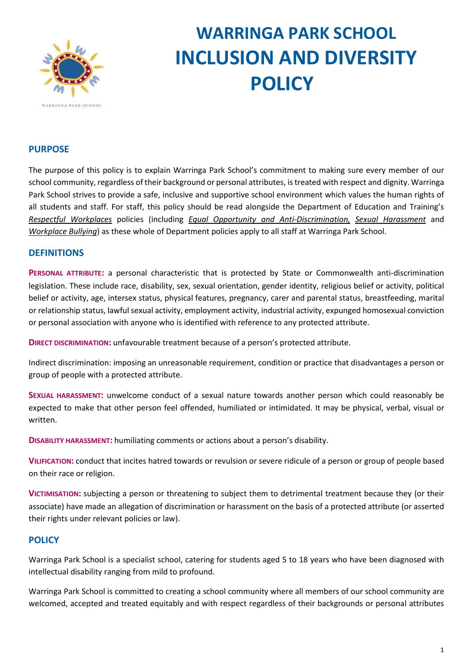

# **WARRINGA PARK SCHOOL INCLUSION AND DIVERSITY POLICY**

# **PURPOSE**

The purpose of this policy is to explain Warringa Park School's commitment to making sure every member of our school community, regardless of their background or personal attributes, is treated with respect and dignity. Warringa Park School strives to provide a safe, inclusive and supportive school environment which values the human rights of all students and staff. For staff, this policy should be read alongside the Department of Education and Training'[s](https://www2.education.vic.gov.au/pal/respectful-workplaces/overview) *[Respectful Workplaces](https://www2.education.vic.gov.au/pal/respectful-workplaces/overview)* policies (includin[g](https://www2.education.vic.gov.au/pal/equal-opportunity/overview) *[Equal Opportunity and Anti-Discrimination](https://www2.education.vic.gov.au/pal/equal-opportunity/overview)[,](https://www2.education.vic.gov.au/pal/sexual-harassment/overview) [Sexual Harassment](https://www2.education.vic.gov.au/pal/sexual-harassment/overview)* an[d](https://www2.education.vic.gov.au/pal/workplace-bullying/policy) *[Workplace Bullying](https://www2.education.vic.gov.au/pal/workplace-bullying/policy)*) as these whole of Department policies apply to all staff at Warringa Park School.

## **DEFINITIONS**

**PERSONAL ATTRIBUTE:** a personal characteristic that is protected by State or Commonwealth anti-discrimination legislation. These include race, disability, sex, sexual orientation, gender identity, religious belief or activity, political belief or activity, age, intersex status, physical features, pregnancy, carer and parental status, breastfeeding, marital or relationship status, lawful sexual activity, employment activity, industrial activity, expunged homosexual conviction or personal association with anyone who is identified with reference to any protected attribute.

**DIRECT DISCRIMINATION:** unfavourable treatment because of a person's protected attribute.

Indirect discrimination: imposing an unreasonable requirement, condition or practice that disadvantages a person or group of people with a protected attribute.

**SEXUAL HARASSMENT:** unwelcome conduct of a sexual nature towards another person which could reasonably be expected to make that other person feel offended, humiliated or intimidated. It may be physical, verbal, visual or written.

**DISABILITY HARASSMENT:** humiliating comments or actions about a person's disability.

**VILIFICATION:** conduct that incites hatred towards or revulsion or severe ridicule of a person or group of people based on their race or religion.

**VICTIMISATION:** subjecting a person or threatening to subject them to detrimental treatment because they (or their associate) have made an allegation of discrimination or harassment on the basis of a protected attribute (or asserted their rights under relevant policies or law).

## **POLICY**

Warringa Park School is a specialist school, catering for students aged 5 to 18 years who have been diagnosed with intellectual disability ranging from mild to profound.

Warringa Park School is committed to creating a school community where all members of our school community are welcomed, accepted and treated equitably and with respect regardless of their backgrounds or personal attributes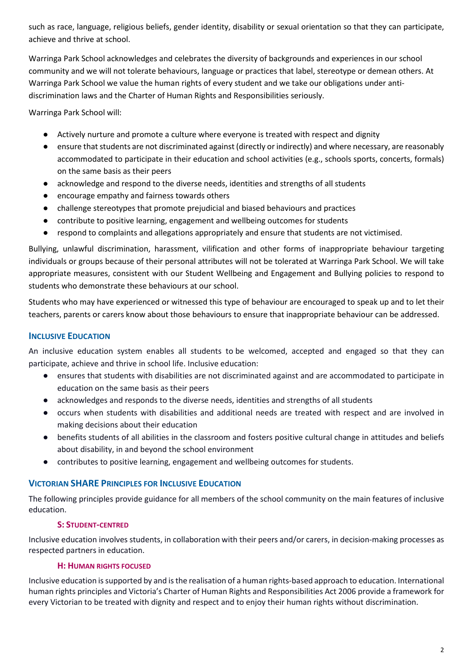such as race, language, religious beliefs, gender identity, disability or sexual orientation so that they can participate, achieve and thrive at school.

Warringa Park School acknowledges and celebrates the diversity of backgrounds and experiences in our school community and we will not tolerate behaviours, language or practices that label, stereotype or demean others. At Warringa Park School we value the human rights of every student and we take our obligations under antidiscrimination laws and the Charter of Human Rights and Responsibilities seriously.

Warringa Park School will:

- Actively nurture and promote a culture where everyone is treated with respect and dignity
- ensure that students are not discriminated against (directly or indirectly) and where necessary, are reasonably accommodated to participate in their education and school activities (e.g., schools sports, concerts, formals) on the same basis as their peers
- acknowledge and respond to the diverse needs, identities and strengths of all students
- encourage empathy and fairness towards others
- challenge stereotypes that promote prejudicial and biased behaviours and practices
- contribute to positive learning, engagement and wellbeing outcomes for students
- respond to complaints and allegations appropriately and ensure that students are not victimised.

Bullying, unlawful discrimination, harassment, vilification and other forms of inappropriate behaviour targeting individuals or groups because of their personal attributes will not be tolerated at Warringa Park School. We will take appropriate measures, consistent with our Student Wellbeing and Engagement and Bullying policies to respond to students who demonstrate these behaviours at our school.

Students who may have experienced or witnessed this type of behaviour are encouraged to speak up and to let their teachers, parents or carers know about those behaviours to ensure that inappropriate behaviour can be addressed.

# **INCLUSIVE EDUCATION**

An inclusive education system enables all students to be welcomed, accepted and engaged so that they can participate, achieve and thrive in school life. Inclusive education:

- ensures that students with disabilities are not discriminated against and are accommodated to participate in education on the same basis as their peers
- acknowledges and responds to the diverse needs, identities and strengths of all students
- occurs when students with disabilities and additional needs are treated with respect and are involved in making decisions about their education
- benefits students of all abilities in the classroom and fosters positive cultural change in attitudes and beliefs about disability, in and beyond the school environment
- contributes to positive learning, engagement and wellbeing outcomes for students.

# **VICTORIAN SHARE PRINCIPLES FOR INCLUSIVE EDUCATION**

The following principles provide guidance for all members of the school community on the main features of inclusive education.

## **S: STUDENT-CENTRED**

Inclusive education involves students, in collaboration with their peers and/or carers, in decision-making processes as respected partners in education.

## **H: HUMAN RIGHTS FOCUSED**

Inclusive education is supported by and is the realisation of a human rights-based approach to education. International human rights principles and Victoria's Charter of Human Rights and Responsibilities Act 2006 provide a framework for every Victorian to be treated with dignity and respect and to enjoy their human rights without discrimination.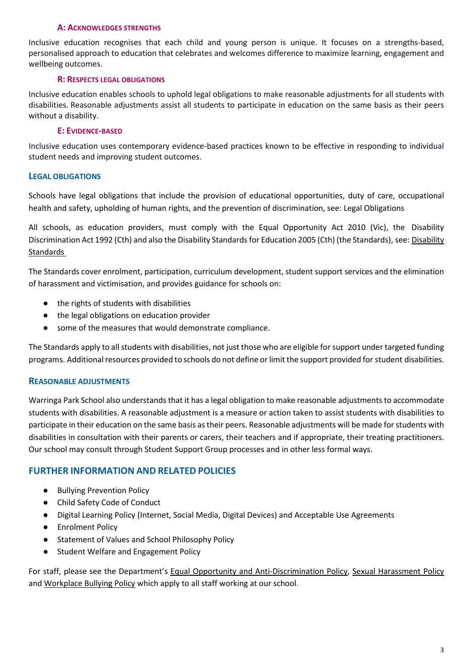#### **A: ACKNOWLEDGES STRENGTHS**

Inclusive education recognises that each child and young person is unique. It focuses on a strengths-based, personalised approach to education that celebrates and welcomes difference to maximize learning, engagement and wellbeing outcomes.

#### **R: RESPECTS LEGAL OBLIGATIONS**

Inclusive education enables schools to uphold legal obligations to make reasonable adjustments for all students with disabilities. Reasonable adjustments assist all students to participate in education on the same basis as their peers without a disability.

#### **E: EVIDENCE-BASED**

Inclusive education uses contemporary evidence-based practices known to be effective in responding to individual student needs and improving student outcomes.

### **LEGAL OBLIGATIONS**

Schools have legal obligations that include the provision of educational opportunities, duty of care, occupational health and safety, upholding of human rights, and the prevention of discrimination, see: [Legal Obligations](https://www.education.vic.gov.au/school/teachers/studentmanagement/Pages/legalobligations.aspx)

All schools, as education providers, must comply with the Equal Opportunity Act 2010 (Vic), the Disability Discrimination Act 1992 (Cth) and also the Disability Standards for Education 2005 (Cth) (the Standards), see: [Disability](https://www.education.vic.gov.au/school/teachers/learningneeds/Pages/legislation.aspx)  [Standards](https://www.education.vic.gov.au/school/teachers/learningneeds/Pages/legislation.aspx)

The Standards cover enrolment, participation, curriculum development, student support services and the elimination of harassment and victimisation, and provides guidance for schools on:

- the rights of students with disabilities
- the legal obligations on education provider
- some of the measures that would demonstrate compliance.

The Standards apply to all students with disabilities, not just those who are eligible for support under targeted funding programs. Additional resources provided to schools do not define or limit the support provided for student disabilities.

#### **REASONABLE ADJUSTMENTS**

Warringa Park School also understands that it has a legal obligation to make reasonable adjustments to accommodate students with disabilities. A reasonable adjustment is a measure or action taken to assist students with disabilities to participate in their education on the same basis as their peers. Reasonable adjustments will be made for students with disabilities in consultation with their parents or carers, their teachers and if appropriate, their treating practitioners. Our school may consult through Student Support Group processes and in other less formal ways.

## **FURTHER INFORMATION AND RELATED POLICIES**

- Bullying Prevention Policy
- Child Safety Code of Conduct
- Digital Learning Policy (Internet, Social Media, Digital Devices) and Acceptable Use Agreements
- Enrolment Policy
- Statement of Values and School Philosophy Policy
- Student Welfare and Engagement Policy

For staff, please see the Department'[s](https://www2.education.vic.gov.au/pal/equal-opportunity/policy-and-guidelines) [Equal Opportunity and Anti-Discrimination Policy](https://www2.education.vic.gov.au/pal/equal-opportunity/policy-and-guidelines)[,](https://www2.education.vic.gov.au/pal/sexual-harassment/policy-and-guidelines) [Sexual Harassment Policy](https://www2.education.vic.gov.au/pal/sexual-harassment/policy-and-guidelines) and [Workplace Bullying Policy](https://www2.education.vic.gov.au/pal/workplace-bullying/policy) which apply to all staff working at our school.